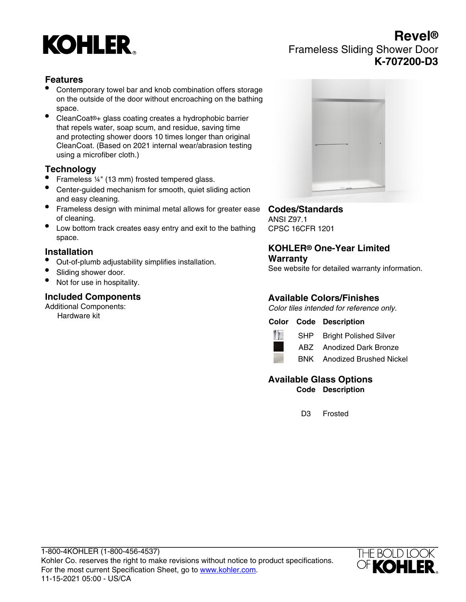

# **Revel®** Frameless Sliding Shower Door **K-707200-D3**

### **Features**

- Contemporary towel bar and knob combination offers storage on the outside of the door without encroaching on the bathing space.
- CleanCoat®+ glass coating creates a hydrophobic barrier that repels water, soap scum, and residue, saving time and protecting shower doors 10 times longer than original CleanCoat. (Based on 2021 internal wear/abrasion testing using a microfiber cloth.)

### **Technology**

- Frameless ¼" (13 mm) frosted tempered glass.
- Center-guided mechanism for smooth, quiet sliding action and easy cleaning.
- Frameless design with minimal metal allows for greater ease of cleaning.
- Low bottom track creates easy entry and exit to the bathing space.

### **Installation**

- Out-of-plumb adjustability simplifies installation.
- Sliding shower door.
- Not for use in hospitality.

### **Included Components**

Additional Components: Hardware kit



#### **Codes/Standards** ANSI Z97.1

CPSC 16CFR 1201

#### **KOHLER® One-Year Limited Warranty**

See website for detailed warranty information.

### **Available Colors/Finishes**

Color tiles intended for reference only.

### **Color Code Description**



SHP Bright Polished Silver

ABZ Anodized Dark Bronze



#### **Available Glass Options Code Description**

D3 Frosted